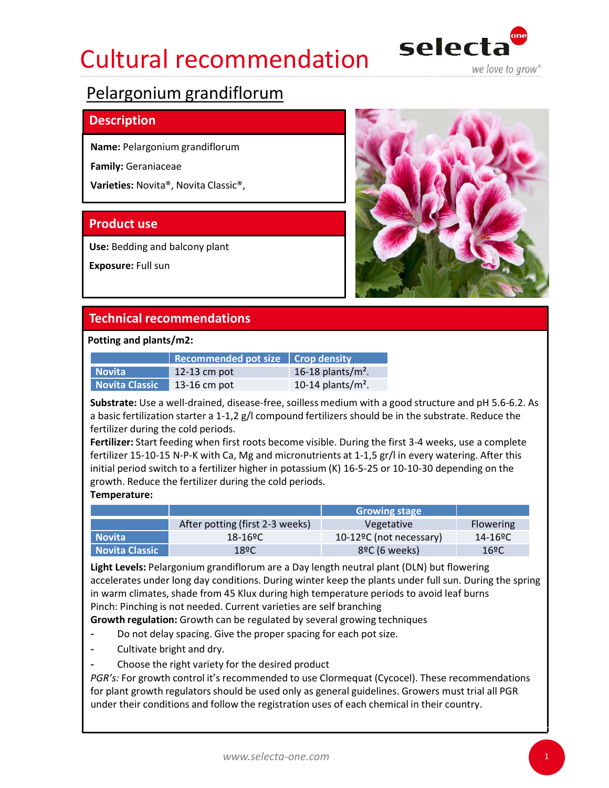# Cultural recommendation selecta



## **Description**

Name: Pelargonium grandiflorum

Family: Geraniaceae

Varieties: Novita®, Novita Classic®,

Use: Bedding and balcony plant

Exposure: Full sun



|                | Recommended pot size $\vert$ Crop density |                       |
|----------------|-------------------------------------------|-----------------------|
| Novita         | 12-13 cm pot                              | 16-18 plants/ $m^2$ . |
| Novita Classic | 13-16 cm pot                              | 10-14 plants/ $m2$ .  |

Fertilizer: Start feeding when first roots become visible. During the first 3-4 weeks, use a complete fertilizer 15-10-15 N-P-K with Ca, Mg and micronutrients at 1-1,5 gr/l in every watering. After this initial period switch to a fertilizer higher in potassium (K) 16-5-25 or 10-10-30 depending on the Use: Bedding and balcony plant<br>
Exposure: Full sun<br> **Technical recommendations**<br> **Recommended pot size** Crop density<br>
Novita<br>
Recommended pot size Crop density<br>
Novita<br>
Recommended pot is a cold periods.<br> **Recommended pot** 

## Temperature:

|                                 | <b>Technical recommendations</b>                                                                                                                                                                                                                                     |                                                    |                                       |
|---------------------------------|----------------------------------------------------------------------------------------------------------------------------------------------------------------------------------------------------------------------------------------------------------------------|----------------------------------------------------|---------------------------------------|
| Potting and plants/m2:          |                                                                                                                                                                                                                                                                      |                                                    |                                       |
|                                 | <b>Recommended pot size</b>                                                                                                                                                                                                                                          | <b>Crop density</b>                                |                                       |
| <b>Novita</b><br>Novita Classic | 12-13 cm pot<br>13-16 cm pot                                                                                                                                                                                                                                         | 16-18 plants/ $m^2$ .<br>10-14 plants/ $m^2$ .     |                                       |
|                                 | fertilizer during the cold periods.<br>Fertilizer: Start feeding when first roots become visible. During the first 3-4 weeks, use a complete                                                                                                                         |                                                    |                                       |
| Temperature:                    | fertilizer 15-10-15 N-P-K with Ca, Mg and micronutrients at 1-1,5 gr/l in every watering. After this<br>initial period switch to a fertilizer higher in potassium (K) 16-5-25 or 10-10-30 depending on the<br>growth. Reduce the fertilizer during the cold periods. |                                                    |                                       |
|                                 |                                                                                                                                                                                                                                                                      | <b>Growing stage</b>                               |                                       |
| <b>Novita</b>                   | After potting (first 2-3 weeks)<br>18-16 <sup>o</sup> C                                                                                                                                                                                                              | Vegetative<br>10-12 <sup>o</sup> C (not necessary) | Flowering<br>$14 - 16$ <sup>o</sup> C |

**Example 18 Alternations**<br> **Example 18:20 Alternations**<br> **Example 18:20 Alternations**<br> **Example 18:218 cm pot**<br> **Novita Classic 12-16 cm pot**<br> **Novita Classic 12-16 cm pot**<br> **Novita Classic 12-16 cm pot**<br> **DEVALUATE 16:20 Example 12:41**<br> **Example 12:43** cm pot<br> **Example 12:43** cm pot<br> **Example 12:43** cm pot<br> **Example 12:43** cm pot<br> **IO-14** plants/m<sup>2</sup>.<br> **Novita Classic 12:43 cm pot**<br> **UDE 12:43 cm** pot<br> **UDE 12:43** cm pot<br> **UDE 12:43** cm p Light Levels: Pelargonium grandiflorum are a Day length neutral plant (DLN) but flowering accelerates under long day conditions. During winter keep the plants under full sun. During the spring in warm climates, shade from 45 Klux during high temperature periods to avoid leaf burns Pinch: Pinching is not needed. Current varieties are self branching Frecultiver alternative metallities and periods to expect the relations and for the relations and the relations and the relations are the relations of the relations of the second that a period survey is given in the protoc

Growth regulation: Growth can be regulated by several growing techniques

- Do not delay spacing. Give the proper spacing for each pot size.
- Cultivate bright and dry.
- Choose the right variety for the desired product

for plant growth regulators should be used only as general guidelines. Growers must trial all PGR under their conditions and follow the registration uses of each chemical in their country.

1